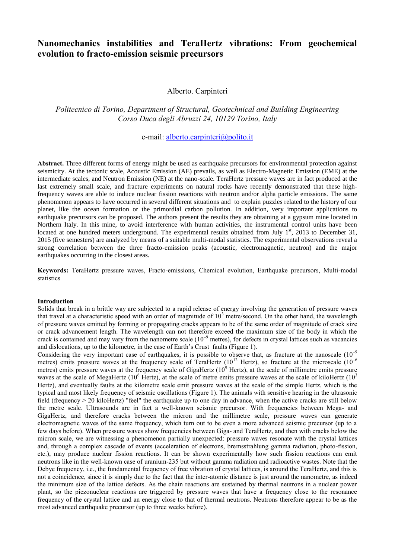# **Nanomechanics instabilities and TeraHertz vibrations: From geochemical evolution to fracto-emission seismic precursors**

Alberto. Carpinteri

*Politecnico di Torino, Department of Structural, Geotechnical and Building Engineering Corso Duca degli Abruzzi 24, 10129 Torino, Italy*

# e-mail: [alberto.carpinteri@polito.it](mailto:giuseppe.lacidogna@polito.it)

**Abstract.** Three different forms of energy might be used as earthquake precursors for environmental protection against seismicity. At the tectonic scale, Acoustic Emission (AE) prevails, as well as Electro-Magnetic Emission (EME) at the intermediate scales, and Neutron Emission (NE) at the nano-scale. TeraHertz pressure waves are in fact produced at the last extremely small scale, and fracture experiments on natural rocks have recently demonstrated that these highfrequency waves are able to induce nuclear fission reactions with neutron and/or alpha particle emissions. The same phenomenon appears to have occurred in several different situations and to explain puzzles related to the history of our planet, like the ocean formation or the primordial carbon pollution. In addition, very important applications to earthquake precursors can be proposed. The authors present the results they are obtaining at a gypsum mine located in Northern Italy. In this mine, to avoid interference with human activities, the instrumental control units have been located at one hundred meters underground. The experimental results obtained from July 1<sup>st</sup>, 2013 to December 31, 2015 (five semesters) are analyzed by means of a suitable multi-modal statistics. The experimental observations reveal a strong correlation between the three fracto-emission peaks (acoustic, electromagnetic, neutron) and the major earthquakes occurring in the closest areas.

**Keywords:** TeraHertz pressure waves, Fracto-emissions, Chemical evolution, Earthquake precursors, Multi-modal statistics

#### **Introduction**

Solids that break in a brittle way are subjected to a rapid release of energy involving the generation of pressure waves that travel at a characteristic speed with an order of magnitude of  $10<sup>3</sup>$  metre/second. On the other hand, the wavelength of pressure waves emitted by forming or propagating cracks appears to be of the same order of magnitude of crack size or crack advancement length. The wavelength can not therefore exceed the maximum size of the body in which the crack is contained and may vary from the nanometre scale  $(10^{-9}$  metres), for defects in crystal lattices such as vacancies and dislocations, up to the kilometre, in the case of Earth's Crust faults (Figure 1).

Considering the very important case of earthquakes, it is possible to observe that, as fracture at the nanoscale  $(10^{-9}$ metres) emits pressure waves at the frequency scale of TeraHertz ( $10^{12}$  Hertz), so fracture at the microscale ( $10^{-6}$ metres) emits pressure waves at the frequency scale of GigaHertz  $(10^9$  Hertz), at the scale of millimetre emits pressure waves at the scale of MegaHertz ( $10^6$  Hertz), at the scale of metre emits pressure waves at the scale of kiloHertz ( $10^3$ Hertz), and eventually faults at the kilometre scale emit pressure waves at the scale of the simple Hertz, which is the typical and most likely frequency of seismic oscillations (Figure 1). The animals with sensitive hearing in the ultrasonic field (frequency > 20 kiloHertz) "feel" the earthquake up to one day in advance, when the active cracks are still below the metre scale. Ultrasounds are in fact a well-known seismic precursor. With frequencies between Mega- and GigaHertz, and therefore cracks between the micron and the millimetre scale, pressure waves can generate electromagnetic waves of the same frequency, which turn out to be even a more advanced seismic precursor (up to a few days before). When pressure waves show frequencies between Giga- and TeraHertz, and then with cracks below the micron scale, we are witnessing a phenomenon partially unexpected: pressure waves resonate with the crystal lattices and, through a complex cascade of events (acceleration of electrons, bremsstrahlung gamma radiation, photo-fission, etc.), may produce nuclear fission reactions. It can be shown experimentally how such fission reactions can emit neutrons like in the well-known case of uranium-235 but without gamma radiation and radioactive wastes. Note that the Debye frequency, i.e., the fundamental frequency of free vibration of crystal lattices, is around the TeraHertz, and this is not a coincidence, since it is simply due to the fact that the inter-atomic distance is just around the nanometre, as indeed the minimum size of the lattice defects. As the chain reactions are sustained by thermal neutrons in a nuclear power plant, so the piezonuclear reactions are triggered by pressure waves that have a frequency close to the resonance frequency of the crystal lattice and an energy close to that of thermal neutrons. Neutrons therefore appear to be as the most advanced earthquake precursor (up to three weeks before).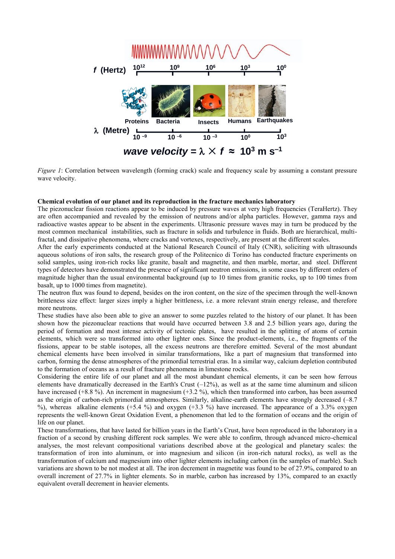



### **Chemical evolution of our planet and its reproduction in the fracture mechanics laboratory**

The piezonuclear fission reactions appear to be induced by pressure waves at very high frequencies (TeraHertz). They are often accompanied and revealed by the emission of neutrons and/or alpha particles. However, gamma rays and radioactive wastes appear to be absent in the experiments. Ultrasonic pressure waves may in turn be produced by the most common mechanical instabilities, such as fracture in solids and turbulence in fluids. Both are hierarchical, multifractal, and dissipative phenomena, where cracks and vortexes, respectively, are present at the different scales.

After the early experiments conducted at the National Research Council of Italy (CNR), soliciting with ultrasounds aqueous solutions of iron salts, the research group of the Politecnico di Torino has conducted fracture experiments on solid samples, using iron-rich rocks like granite, basalt and magnetite, and then marble, mortar, and steel. Different types of detectors have demonstrated the presence of significant neutron emissions, in some cases by different orders of magnitude higher than the usual environmental background (up to 10 times from granitic rocks, up to 100 times from basalt, up to 1000 times from magnetite).

The neutron flux was found to depend, besides on the iron content, on the size of the specimen through the well-known brittleness size effect: larger sizes imply a higher brittleness, i.e. a more relevant strain energy release, and therefore more neutrons.

These studies have also been able to give an answer to some puzzles related to the history of our planet. It has been shown how the piezonuclear reactions that would have occurred between 3.8 and 2.5 billion years ago, during the period of formation and most intense activity of tectonic plates, have resulted in the splitting of atoms of certain elements, which were so transformed into other lighter ones. Since the product-elements, i.e., the fragments of the fissions, appear to be stable isotopes, all the excess neutrons are therefore emitted. Several of the most abundant chemical elements have been involved in similar transformations, like a part of magnesium that transformed into carbon, forming the dense atmospheres of the primordial terrestrial eras. In a similar way, calcium depletion contributed to the formation of oceans as a result of fracture phenomena in limestone rocks.

Considering the entire life of our planet and all the most abundant chemical elements, it can be seen how ferrous elements have dramatically decreased in the Earth's Crust  $(-12%)$ , as well as at the same time aluminum and silicon have increased (+8.8 %). An increment in magnesium (+3.2 %), which then transformed into carbon, has been assumed as the origin of carbon-rich primordial atmospheres. Similarly, alkaline-earth elements have strongly decreased (–8.7 %), whereas alkaline elements (+5.4 %) and oxygen (+3.3 %) have increased. The appearance of a 3.3% oxygen represents the well-known Great Oxidation Event, a phenomenon that led to the formation of oceans and the origin of life on our planet.

These transformations, that have lasted for billion years in the Earth's Crust, have been reproduced in the laboratory in a fraction of a second by crushing different rock samples. We were able to confirm, through advanced micro-chemical analyses, the most relevant compositional variations described above at the geological and planetary scales: the transformation of iron into aluminum, or into magnesium and silicon (in iron-rich natural rocks), as well as the transformation of calcium and magnesium into other lighter elements including carbon (in the samples of marble). Such variations are shown to be not modest at all. The iron decrement in magnetite was found to be of 27.9%, compared to an overall increment of 27.7% in lighter elements. So in marble, carbon has increased by 13%, compared to an exactly equivalent overall decrement in heavier elements.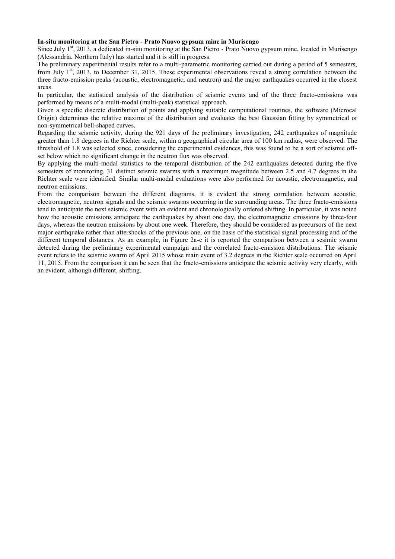## **In-situ monitoring at the San Pietro - Prato Nuovo gypsum mine in Murisengo**

Since July 1<sup>st</sup>, 2013, a dedicated in-situ monitoring at the San Pietro - Prato Nuovo gypsum mine, located in Murisengo (Alessandria, Northern Italy) has started and it is still in progress.

The preliminary experimental results refer to a multi-parametric monitoring carried out during a period of 5 semesters, from July  $1^{st}$ , 2013, to December 31, 2015. These experimental observations reveal a strong correlation between the three fracto-emission peaks (acoustic, electromagnetic, and neutron) and the major earthquakes occurred in the closest areas.

In particular, the statistical analysis of the distribution of seismic events and of the three fracto-emissions was performed by means of a multi-modal (multi-peak) statistical approach.

Given a specific discrete distribution of points and applying suitable computational routines, the software (Microcal Origin) determines the relative maxima of the distribution and evaluates the best Gaussian fitting by symmetrical or non-symmetrical bell-shaped curves.

Regarding the seismic activity, during the 921 days of the preliminary investigation, 242 earthquakes of magnitude greater than 1.8 degrees in the Richter scale, within a geographical circular area of 100 km radius, were observed. The threshold of 1.8 was selected since, considering the experimental evidences, this was found to be a sort of seismic offset below which no significant change in the neutron flux was observed.

By applying the multi-modal statistics to the temporal distribution of the 242 earthquakes detected during the five semesters of monitoring, 31 distinct seismic swarms with a maximum magnitude between 2.5 and 4.7 degrees in the Richter scale were identified. Similar multi-modal evaluations were also performed for acoustic, electromagnetic, and neutron emissions.

From the comparison between the different diagrams, it is evident the strong correlation between acoustic, electromagnetic, neutron signals and the seismic swarms occurring in the surrounding areas. The three fracto-emissions tend to anticipate the next seismic event with an evident and chronologically ordered shifting. In particular, it was noted how the acoustic emissions anticipate the earthquakes by about one day, the electromagnetic emissions by three-four days, whereas the neutron emissions by about one week. Therefore, they should be considered as precursors of the next major earthquake rather than aftershocks of the previous one, on the basis of the statistical signal processing and of the different temporal distances. As an example, in Figure 2a-c it is reported the comparison between a sesimic swarm detected during the preliminary experimental campaign and the correlated fracto-emission distributions. The seismic event refers to the seismic swarm of April 2015 whose main event of 3.2 degrees in the Richter scale occurred on April 11, 2015. From the comparison it can be seen that the fracto-emissions anticipate the seismic activity very clearly, with an evident, although different, shifting.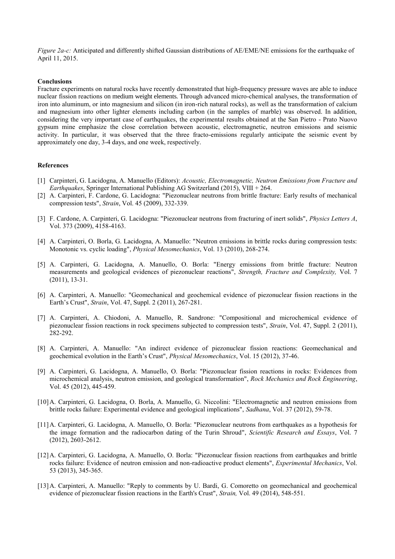*Figure 2a-c:* Anticipated and differently shifted Gaussian distributions of AE/EME/NE emissions for the earthquake of April 11, 2015.

#### **Conclusions**

Fracture experiments on natural rocks have recently demonstrated that high-frequency pressure waves are able to induce nuclear fission reactions on medium weight elements. Through advanced micro-chemical analyses, the transformation of iron into aluminum, or into magnesium and silicon (in iron-rich natural rocks), as well as the transformation of calcium and magnesium into other lighter elements including carbon (in the samples of marble) was observed. In addition, considering the very important case of earthquakes, the experimental results obtained at the San Pietro - Prato Nuovo gypsum mine emphasize the close correlation between acoustic, electromagnetic, neutron emissions and seismic activity. In particular, it was observed that the three fracto-emissions regularly anticipate the seismic event by approximately one day, 3-4 days, and one week, respectively.

### **References**

- [1] Carpinteri, G. Lacidogna, A. Manuello (Editors): *Acoustic, Electromagnetic, Neutron Emissions from Fracture and Earthquakes*, Springer International Publishing AG Switzerland (2015), VIII + 264.
- [2] A. Carpinteri, F. Cardone, G. Lacidogna: "Piezonuclear neutrons from brittle fracture: Early results of mechanical compression tests", *Strain*, Vol. 45 (2009), 332-339.
- [3] F. Cardone, A. Carpinteri, G. Lacidogna: "Piezonuclear neutrons from fracturing of inert solids", *Physics Letters A*, Vol. 373 (2009), 4158-4163.
- [4] A. Carpinteri, O. Borla, G. Lacidogna, A. Manuello: "Neutron emissions in brittle rocks during compression tests: Monotonic vs. cyclic loading", *Physical Mesomechanics*, Vol. 13 (2010), 268-274.
- [5] A. Carpinteri, G. Lacidogna, A. Manuello, O. Borla: "Energy emissions from brittle fracture: Neutron measurements and geological evidences of piezonuclear reactions", *Strength, Fracture and Complexity,* Vol. 7 (2011), 13-31.
- [6] A. Carpinteri, A. Manuello: "Geomechanical and geochemical evidence of piezonuclear fission reactions in the Earth's Crust", *Strain*, Vol. 47, Suppl. 2 (2011), 267-281.
- [7] A. Carpinteri, A. Chiodoni, A. Manuello, R. Sandrone: "Compositional and microchemical evidence of piezonuclear fission reactions in rock specimens subjected to compression tests", *Strain*, Vol. 47, Suppl. 2 (2011), 282-292.
- [8] A. Carpinteri, A. Manuello: "An indirect evidence of piezonuclear fission reactions: Geomechanical and geochemical evolution in the Earth's Crust", *Physical Mesomechanics*, Vol. 15 (2012), 37-46.
- [9] A. Carpinteri, G. Lacidogna, A. Manuello, O. Borla: "Piezonuclear fission reactions in rocks: Evidences from microchemical analysis, neutron emission, and geological transformation", *Rock Mechanics and Rock Engineering*, Vol. 45 (2012), 445-459.
- [10]A. Carpinteri, G. Lacidogna, O. Borla, A. Manuello, G. Niccolini: "Electromagnetic and neutron emissions from brittle rocks failure: Experimental evidence and geological implications", *Sadhana*, Vol. 37 (2012), 59-78.
- [11]A. Carpinteri, G. Lacidogna, A. Manuello, O. Borla: "Piezonuclear neutrons from earthquakes as a hypothesis for the image formation and the radiocarbon dating of the Turin Shroud", *Scientific Research and Essays*, Vol. 7 (2012), 2603-2612.
- [12]A. Carpinteri, G. Lacidogna, A. Manuello, O. Borla: "Piezonuclear fission reactions from earthquakes and brittle rocks failure: Evidence of neutron emission and non-radioactive product elements", *Experimental Mechanics*, Vol. 53 (2013), 345-365.
- [13]A. Carpinteri, A. Manuello: "Reply to comments by U. Bardi, G. Comoretto on geomechanical and geochemical evidence of piezonuclear fission reactions in the Earth's Crust", *Strain,* Vol. 49 (2014), 548-551.